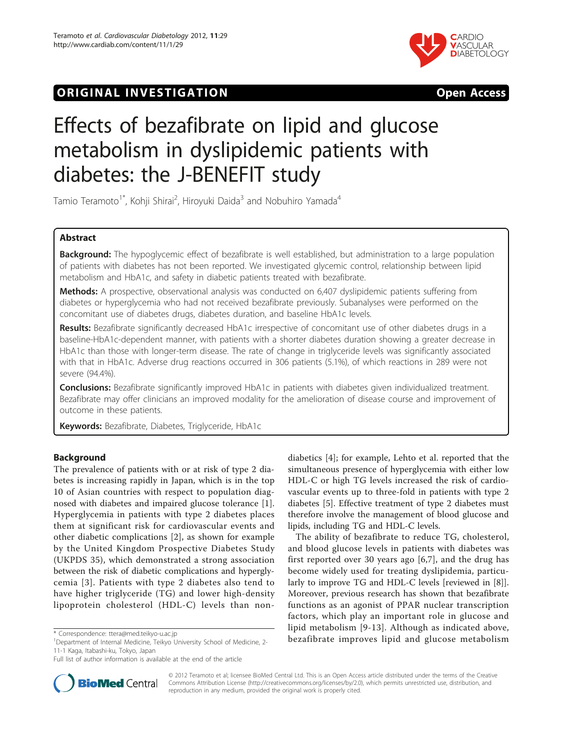# **ORIGINAL INVESTIGATION CONSIDERING OPEN ACCESS**



# Effects of bezafibrate on lipid and glucose metabolism in dyslipidemic patients with diabetes: the J-BENEFIT study

Tamio Teramoto $^{\text{1*}}$ , Kohji Shirai $^{\text{2}}$ , Hiroyuki Daida $^{\text{3}}$  and Nobuhiro Yamada $^{\text{4}}$ 

# Abstract

Background: The hypoglycemic effect of bezafibrate is well established, but administration to a large population of patients with diabetes has not been reported. We investigated glycemic control, relationship between lipid metabolism and HbA1c, and safety in diabetic patients treated with bezafibrate.

Methods: A prospective, observational analysis was conducted on 6,407 dyslipidemic patients suffering from diabetes or hyperglycemia who had not received bezafibrate previously. Subanalyses were performed on the concomitant use of diabetes drugs, diabetes duration, and baseline HbA1c levels.

Results: Bezafibrate significantly decreased HbA1c irrespective of concomitant use of other diabetes drugs in a baseline-HbA1c-dependent manner, with patients with a shorter diabetes duration showing a greater decrease in HbA1c than those with longer-term disease. The rate of change in triglyceride levels was significantly associated with that in HbA1c. Adverse drug reactions occurred in 306 patients (5.1%), of which reactions in 289 were not severe (94.4%).

Conclusions: Bezafibrate significantly improved HbA1c in patients with diabetes given individualized treatment. Bezafibrate may offer clinicians an improved modality for the amelioration of disease course and improvement of outcome in these patients.

Keywords: Bezafibrate, Diabetes, Triglyceride, HbA1c

# Background

The prevalence of patients with or at risk of type 2 diabetes is increasing rapidly in Japan, which is in the top 10 of Asian countries with respect to population diagnosed with diabetes and impaired glucose tolerance [\[1](#page-8-0)]. Hyperglycemia in patients with type 2 diabetes places them at significant risk for cardiovascular events and other diabetic complications [[2\]](#page-8-0), as shown for example by the United Kingdom Prospective Diabetes Study (UKPDS 35), which demonstrated a strong association between the risk of diabetic complications and hyperglycemia [[3\]](#page-8-0). Patients with type 2 diabetes also tend to have higher triglyceride (TG) and lower high-density lipoprotein cholesterol (HDL-C) levels than non-

<sup>1</sup>Department of Internal Medicine, Teikyo University School of Medicine, 2-11-1 Kaga, Itabashi-ku, Tokyo, Japan

diabetics [\[4](#page-8-0)]; for example, Lehto et al. reported that the simultaneous presence of hyperglycemia with either low HDL-C or high TG levels increased the risk of cardiovascular events up to three-fold in patients with type 2 diabetes [[5\]](#page-8-0). Effective treatment of type 2 diabetes must therefore involve the management of blood glucose and lipids, including TG and HDL-C levels.

The ability of bezafibrate to reduce TG, cholesterol, and blood glucose levels in patients with diabetes was first reported over 30 years ago [\[6](#page-8-0),[7\]](#page-8-0), and the drug has become widely used for treating dyslipidemia, particularly to improve TG and HDL-C levels [reviewed in [\[8](#page-8-0)]]. Moreover, previous research has shown that bezafibrate functions as an agonist of PPAR nuclear transcription factors, which play an important role in glucose and lipid metabolism [[9](#page-8-0)-[13](#page-8-0)]. Although as indicated above, \* Correspondence: [ttera@med.teikyo-u.ac.jp](mailto:ttera@med.teikyo-u.ac.jp)<br>
<sup>1</sup>Department of Internal Medicine Teikyo University School of Medicine 2-<br> **bezafibrate improves lipid and glucose metabolism** 



© 2012 Teramoto et al; licensee BioMed Central Ltd. This is an Open Access article distributed under the terms of the Creative Commons Attribution License [\(http://creativecommons.org/licenses/by/2.0](http://creativecommons.org/licenses/by/2.0)), which permits unrestricted use, distribution, and reproduction in any medium, provided the original work is properly cited.

Full list of author information is available at the end of the article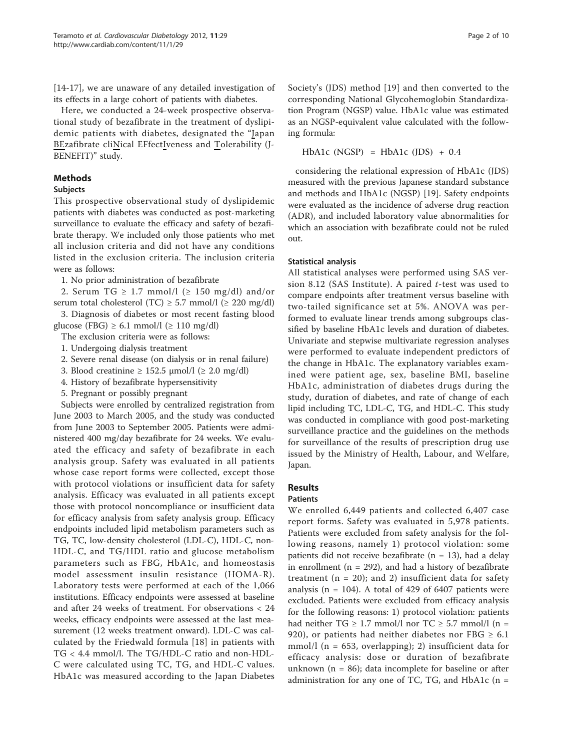[[14-17](#page-8-0)], we are unaware of any detailed investigation of its effects in a large cohort of patients with diabetes.

Here, we conducted a 24-week prospective observational study of bezafibrate in the treatment of dyslipidemic patients with diabetes, designated the "Japan BEzafibrate cliNical EFfectIveness and Tolerability (J-BENEFIT)" study.

# Methods

# Subjects

This prospective observational study of dyslipidemic patients with diabetes was conducted as post-marketing surveillance to evaluate the efficacy and safety of bezafibrate therapy. We included only those patients who met all inclusion criteria and did not have any conditions listed in the exclusion criteria. The inclusion criteria were as follows:

1. No prior administration of bezafibrate

2. Serum TG  $\geq$  1.7 mmol/l ( $\geq$  150 mg/dl) and/or serum total cholesterol (TC)  $\geq$  5.7 mmol/l ( $\geq$  220 mg/dl)

3. Diagnosis of diabetes or most recent fasting blood glucose (FBG) ≥ 6.1 mmol/l (≥ 110 mg/dl)

The exclusion criteria were as follows:

1. Undergoing dialysis treatment

2. Severe renal disease (on dialysis or in renal failure)

3. Blood creatinine ≥ 152.5 μmol/l (≥ 2.0 mg/dl)

4. History of bezafibrate hypersensitivity

5. Pregnant or possibly pregnant

Subjects were enrolled by centralized registration from June 2003 to March 2005, and the study was conducted from June 2003 to September 2005. Patients were administered 400 mg/day bezafibrate for 24 weeks. We evaluated the efficacy and safety of bezafibrate in each analysis group. Safety was evaluated in all patients whose case report forms were collected, except those with protocol violations or insufficient data for safety analysis. Efficacy was evaluated in all patients except those with protocol noncompliance or insufficient data for efficacy analysis from safety analysis group. Efficacy endpoints included lipid metabolism parameters such as TG, TC, low-density cholesterol (LDL-C), HDL-C, non-HDL-C, and TG/HDL ratio and glucose metabolism parameters such as FBG, HbA1c, and homeostasis model assessment insulin resistance (HOMA-R). Laboratory tests were performed at each of the 1,066 institutions. Efficacy endpoints were assessed at baseline and after 24 weeks of treatment. For observations < 24 weeks, efficacy endpoints were assessed at the last measurement (12 weeks treatment onward). LDL-C was calculated by the Friedwald formula [\[18](#page-8-0)] in patients with TG < 4.4 mmol/l. The TG/HDL-C ratio and non-HDL-C were calculated using TC, TG, and HDL-C values. HbA1c was measured according to the Japan Diabetes Society's (JDS) method [[19\]](#page-8-0) and then converted to the corresponding National Glycohemoglobin Standardization Program (NGSP) value. HbA1c value was estimated as an NGSP-equivalent value calculated with the following formula:

HbA1c *(*NGSP*)* = HbA1c *(*JDS*)* + 0.4

considering the relational expression of HbA1c (JDS) measured with the previous Japanese standard substance and methods and HbA1c (NGSP) [\[19](#page-8-0)]. Safety endpoints were evaluated as the incidence of adverse drug reaction (ADR), and included laboratory value abnormalities for which an association with bezafibrate could not be ruled out.

# Statistical analysis

All statistical analyses were performed using SAS version 8.12 (SAS Institute). A paired  $t$ -test was used to compare endpoints after treatment versus baseline with two-tailed significance set at 5%. ANOVA was performed to evaluate linear trends among subgroups classified by baseline HbA1c levels and duration of diabetes. Univariate and stepwise multivariate regression analyses were performed to evaluate independent predictors of the change in HbA1c. The explanatory variables examined were patient age, sex, baseline BMI, baseline HbA1c, administration of diabetes drugs during the study, duration of diabetes, and rate of change of each lipid including TC, LDL-C, TG, and HDL-C. This study was conducted in compliance with good post-marketing surveillance practice and the guidelines on the methods for surveillance of the results of prescription drug use issued by the Ministry of Health, Labour, and Welfare, Japan.

# Results

# Patients

We enrolled 6,449 patients and collected 6,407 case report forms. Safety was evaluated in 5,978 patients. Patients were excluded from safety analysis for the following reasons, namely 1) protocol violation: some patients did not receive bezafibrate ( $n = 13$ ), had a delay in enrollment ( $n = 292$ ), and had a history of bezafibrate treatment ( $n = 20$ ); and 2) insufficient data for safety analysis ( $n = 104$ ). A total of 429 of 6407 patients were excluded. Patients were excluded from efficacy analysis for the following reasons: 1) protocol violation: patients had neither TG  $\geq$  1.7 mmol/l nor TC  $\geq$  5.7 mmol/l (n = 920), or patients had neither diabetes nor FBG  $\geq 6.1$ mmol/l ( $n = 653$ , overlapping); 2) insufficient data for efficacy analysis: dose or duration of bezafibrate unknown ( $n = 86$ ); data incomplete for baseline or after administration for any one of TC, TG, and  $HbA1c$  (n =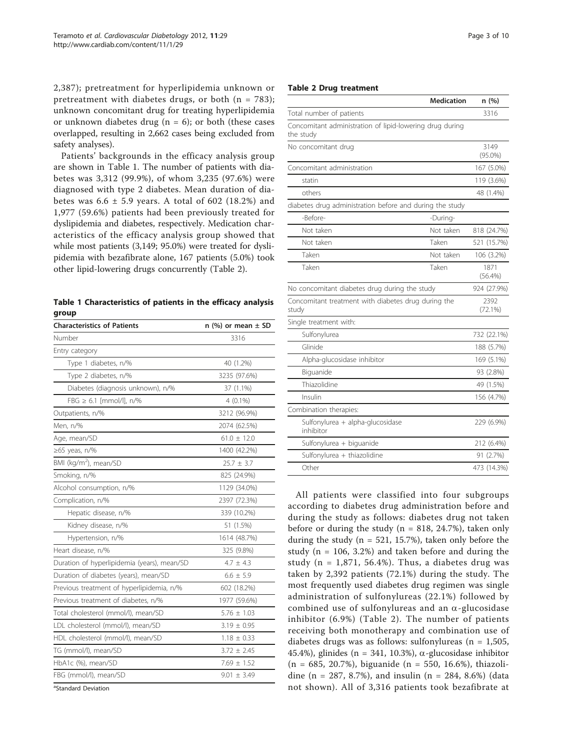2,387); pretreatment for hyperlipidemia unknown or pretreatment with diabetes drugs, or both  $(n = 783)$ ; unknown concomitant drug for treating hyperlipidemia or unknown diabetes drug ( $n = 6$ ); or both (these cases overlapped, resulting in 2,662 cases being excluded from safety analyses).

Patients' backgrounds in the efficacy analysis group are shown in Table 1. The number of patients with diabetes was 3,312 (99.9%), of whom 3,235 (97.6%) were diagnosed with type 2 diabetes. Mean duration of diabetes was  $6.6 \pm 5.9$  years. A total of 602 (18.2%) and 1,977 (59.6%) patients had been previously treated for dyslipidemia and diabetes, respectively. Medication characteristics of the efficacy analysis group showed that while most patients (3,149; 95.0%) were treated for dyslipidemia with bezafibrate alone, 167 patients (5.0%) took other lipid-lowering drugs concurrently (Table 2).

|       | Table 1 Characteristics of patients in the efficacy analysis |  |  |  |
|-------|--------------------------------------------------------------|--|--|--|
| group |                                                              |  |  |  |

| <b>Characteristics of Patients</b>          | n $(\%)$ or mean $\pm$ SD |
|---------------------------------------------|---------------------------|
| Number                                      | 3316                      |
| Entry category                              |                           |
| Type 1 diabetes, n/%                        | 40 (1.2%)                 |
| Type 2 diabetes, n/%                        | 3235 (97.6%)              |
| Diabetes (diagnosis unknown), n/%           | 37 (1.1%)                 |
| $FBG \geq 6.1$ [mmol/l], n/%                | $4(0.1\%)$                |
| Outpatients, n/%                            | 3212 (96.9%)              |
| Men, n/%                                    | 2074 (62.5%)              |
| Age, mean/SD                                | $61.0 \pm 12.0$           |
| ≥65 yeas, n/%                               | 1400 (42.2%)              |
| BMI (kg/m <sup>2</sup> ), mean/SD           | $25.7 \pm 3.7$            |
| Smoking, n/%                                | 825 (24.9%)               |
| Alcohol consumption, n/%                    | 1129 (34.0%)              |
| Complication, n/%                           | 2397 (72.3%)              |
| Hepatic disease, n/%                        | 339 (10.2%)               |
| Kidney disease, n/%                         | 51 (1.5%)                 |
| Hypertension, n/%                           | 1614 (48.7%)              |
| Heart disease, n/%                          | 325 (9.8%)                |
| Duration of hyperlipidemia (years), mean/SD | $4.7 \pm 4.3$             |
| Duration of diabetes (years), mean/SD       | $6.6 \pm 5.9$             |
| Previous treatment of hyperlipidemia, n/%   | 602 (18.2%)               |
| Previous treatment of diabetes, n/%         | 1977 (59.6%)              |
| Total cholesterol (mmol/l), mean/SD         | $5.76 \pm 1.03$           |
| LDL cholesterol (mmol/l), mean/SD           | $3.19 \pm 0.95$           |
| HDL cholesterol (mmol/l), mean/SD           | $1.18 \pm 0.33$           |
| TG (mmol/l), mean/SD                        | $3.72 \pm 2.45$           |
| HbA1c (%), mean/SD                          | $7.69 \pm 1.52$           |
| FBG (mmol/l), mean/SD                       | $9.01 \pm 3.49$           |
| <sup>a</sup> Standard Deviation             |                           |

Page 3 of 10

#### Table 2 Drug treatment

|                                                                       | <b>Medication</b> | n (%)              |
|-----------------------------------------------------------------------|-------------------|--------------------|
| Total number of patients                                              |                   | 3316               |
| Concomitant administration of lipid-lowering drug during<br>the study |                   |                    |
| No concomitant drug                                                   |                   | 3149<br>$(95.0\%)$ |
| Concomitant administration                                            |                   | 167 (5.0%)         |
| statin                                                                |                   | 119 (3.6%)         |
| others                                                                |                   | 48 (1.4%)          |
| diabetes drug administration before and during the study              |                   |                    |
| -Before-                                                              | -During-          |                    |
| Not taken                                                             | Not taken         | 818 (24.7%)        |
| Not taken                                                             | Taken             | 521 (15.7%)        |
| Taken                                                                 | Not taken         | 106 (3.2%)         |
| Taken                                                                 | Taken             | 1871<br>$(56.4\%)$ |
| No concomitant diabetes drug during the study                         |                   | 924 (27.9%)        |
| Concomitant treatment with diabetes drug during the<br>study          |                   | 2392<br>(72.1%)    |
| Single treatment with:                                                |                   |                    |
| Sulfonylurea                                                          |                   | 732 (22.1%)        |
| Glinide                                                               |                   | 188 (5.7%)         |
| Alpha-glucosidase inhibitor                                           |                   | 169 (5.1%)         |
| Biguanide                                                             |                   | 93 (2.8%)          |
| Thiazolidine                                                          |                   | 49 (1.5%)          |
| Insulin                                                               |                   | 156 (4.7%)         |
| Combination therapies:                                                |                   |                    |
| Sulfonylurea + alpha-glucosidase<br>inhibitor                         |                   | 229 (6.9%)         |
| Sulfonylurea + biguanide                                              |                   | 212 (6.4%)         |
| Sulfonylurea + thiazolidine                                           |                   | 91 (2.7%)          |
| Other                                                                 |                   | 473 (14.3%)        |

All patients were classified into four subgroups according to diabetes drug administration before and during the study as follows: diabetes drug not taken before or during the study ( $n = 818, 24.7\%$ ), taken only during the study ( $n = 521, 15.7\%$ ), taken only before the study ( $n = 106$ , 3.2%) and taken before and during the study ( $n = 1,871, 56.4\%$ ). Thus, a diabetes drug was taken by 2,392 patients (72.1%) during the study. The most frequently used diabetes drug regimen was single administration of sulfonylureas (22.1%) followed by combined use of sulfonylureas and an  $\alpha$ -glucosidase inhibitor (6.9%) (Table 2). The number of patients receiving both monotherapy and combination use of diabetes drugs was as follows: sulfonylureas ( $n = 1,505$ , 45.4%), glinides (n = 341, 10.3%),  $\alpha$ -glucosidase inhibitor (n = 685, 20.7%), biguanide (n = 550, 16.6%), thiazolidine (n = 287, 8.7%), and insulin (n = 284, 8.6%) (data not shown). All of 3,316 patients took bezafibrate at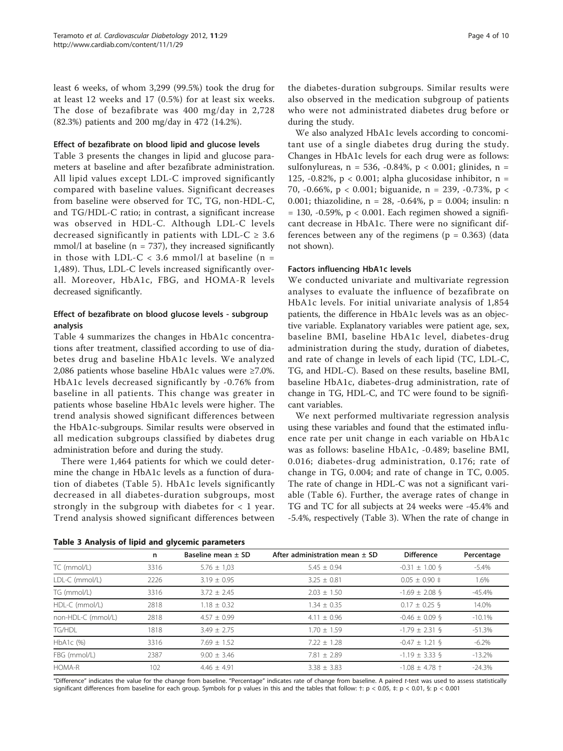<span id="page-3-0"></span>least 6 weeks, of whom 3,299 (99.5%) took the drug for at least 12 weeks and 17 (0.5%) for at least six weeks. The dose of bezafibrate was 400 mg/day in 2,728 (82.3%) patients and 200 mg/day in 472 (14.2%).

#### Effect of bezafibrate on blood lipid and glucose levels

Table 3 presents the changes in lipid and glucose parameters at baseline and after bezafibrate administration. All lipid values except LDL-C improved significantly compared with baseline values. Significant decreases from baseline were observed for TC, TG, non-HDL-C, and TG/HDL-C ratio; in contrast, a significant increase was observed in HDL-C. Although LDL-C levels decreased significantly in patients with LDL-C  $\geq 3.6$ mmol/l at baseline ( $n = 737$ ), they increased significantly in those with LDL-C  $<$  3.6 mmol/l at baseline (n = 1,489). Thus, LDL-C levels increased significantly overall. Moreover, HbA1c, FBG, and HOMA-R levels decreased significantly.

# Effect of bezafibrate on blood glucose levels - subgroup analysis

Table [4](#page-4-0) summarizes the changes in HbA1c concentrations after treatment, classified according to use of diabetes drug and baseline HbA1c levels. We analyzed 2,086 patients whose baseline HbA1c values were ≥7.0%. HbA1c levels decreased significantly by -0.76% from baseline in all patients. This change was greater in patients whose baseline HbA1c levels were higher. The trend analysis showed significant differences between the HbA1c-subgroups. Similar results were observed in all medication subgroups classified by diabetes drug administration before and during the study.

There were 1,464 patients for which we could determine the change in HbA1c levels as a function of duration of diabetes (Table [5](#page-4-0)). HbA1c levels significantly decreased in all diabetes-duration subgroups, most strongly in the subgroup with diabetes for  $< 1$  year. Trend analysis showed significant differences between the diabetes-duration subgroups. Similar results were also observed in the medication subgroup of patients who were not administrated diabetes drug before or during the study.

We also analyzed HbA1c levels according to concomitant use of a single diabetes drug during the study. Changes in HbA1c levels for each drug were as follows: sulfonylureas,  $n = 536, -0.84\%$ ,  $p < 0.001$ ; glinides,  $n =$ 125, -0.82%,  $p < 0.001$ ; alpha glucosidase inhibitor,  $n =$ 70, -0.66%, p < 0.001; biguanide, n = 239, -0.73%, p < 0.001; thiazolidine, n = 28, -0.64%, p = 0.004; insulin: n  $= 130, -0.59\%$ , p < 0.001. Each regimen showed a significant decrease in HbA1c. There were no significant differences between any of the regimens ( $p = 0.363$ ) (data not shown).

# Factors influencing HbA1c levels

We conducted univariate and multivariate regression analyses to evaluate the influence of bezafibrate on HbA1c levels. For initial univariate analysis of 1,854 patients, the difference in HbA1c levels was as an objective variable. Explanatory variables were patient age, sex, baseline BMI, baseline HbA1c level, diabetes-drug administration during the study, duration of diabetes, and rate of change in levels of each lipid (TC, LDL-C, TG, and HDL-C). Based on these results, baseline BMI, baseline HbA1c, diabetes-drug administration, rate of change in TG, HDL-C, and TC were found to be significant variables.

We next performed multivariate regression analysis using these variables and found that the estimated influence rate per unit change in each variable on HbA1c was as follows: baseline HbA1c, -0.489; baseline BMI, 0.016; diabetes-drug administration, 0.176; rate of change in TG, 0.004; and rate of change in TC, 0.005. The rate of change in HDL-C was not a significant variable (Table [6\)](#page-5-0). Further, the average rates of change in TG and TC for all subjects at 24 weeks were -45.4% and -5.4%, respectively (Table 3). When the rate of change in

Table 3 Analysis of lipid and glycemic parameters

|                    | n    | Baseline mean $\pm$ SD | After administration mean $\pm$ SD | <b>Difference</b>         | Percentage |
|--------------------|------|------------------------|------------------------------------|---------------------------|------------|
| TC (mmol/L)        | 3316 | $5.76 \pm 1.03$        | $5.45 \pm 0.94$                    | $-0.31 \pm 1.00$ §        | $-5.4%$    |
| LDL-C (mmol/L)     | 2226 | $3.19 \pm 0.95$        | $3.25 \pm 0.81$                    | $0.05 \pm 0.90 \pm 0.00$  | 1.6%       |
| TG (mmol/L)        | 3316 | $3.72 + 2.45$          | $2.03 + 1.50$                      | $-1.69 \pm 2.08$ §        | $-45.4%$   |
| HDL-C (mmol/L)     | 2818 | $1.18 \pm 0.32$        | $1.34 \pm 0.35$                    | $0.17 \pm 0.25$ §         | 14.0%      |
| non-HDL-C (mmol/L) | 2818 | $4.57 + 0.99$          | $4.11 \pm 0.96$                    | $-0.46 \pm 0.09$ §        | $-10.1%$   |
| TG/HDL             | 1818 | $3.49 + 2.75$          | $1.70 + 1.59$                      | $-1.79 \pm 2.31$ §        | $-51.3%$   |
| HbA1c (%)          | 3316 | $7.69 \pm 1.52$        | $7.22 \pm 1.28$                    | $-0.47 \pm 1.21$ §        | $-6.2\%$   |
| FBG (mmol/L)       | 2387 | $9.00 \pm 3.46$        | $7.81 \pm 2.89$                    | $-1.19 \pm 3.33$ §        | $-13.2%$   |
| HOMA-R             | 102  | $4.46 + 4.91$          | $3.38 \pm 3.83$                    | $-1.08 \pm 4.78 \pm 1.08$ | $-24.3%$   |
|                    |      |                        |                                    |                           |            |

"Difference" indicates the value for the change from baseline. "Percentage" indicates rate of change from baseline. A paired t-test was used to assess statistically significant differences from baseline for each group. Symbols for p values in this and the tables that follow:  $\pm$ :  $p < 0.05$ ,  $\pm$ :  $p < 0.01$ ,  $\pm$ :  $p < 0.001$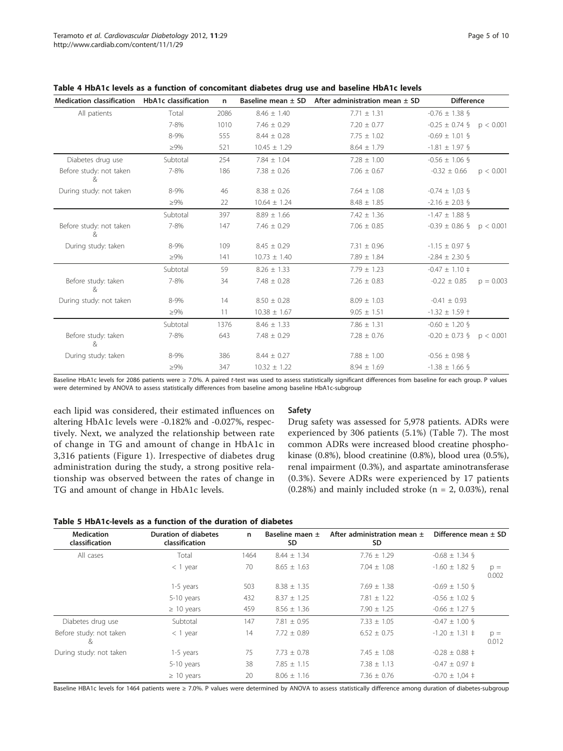| <b>Medication classification</b> | <b>HbA1c classification</b> | n    | Baseline mean $\pm$ SD | After administration mean $\pm$ SD | <b>Difference</b>         |             |
|----------------------------------|-----------------------------|------|------------------------|------------------------------------|---------------------------|-------------|
| All patients                     | Total                       | 2086 | $8.46 \pm 1.40$        | $7.71 \pm 1.31$                    | $-0.76 \pm 1.38$ §        |             |
|                                  | 7-8%                        | 1010 | $7.46 \pm 0.29$        | $7.20 \pm 0.77$                    | $-0.25 \pm 0.74$ §        | p < 0.001   |
|                                  | 8-9%                        | 555  | $8.44 \pm 0.28$        | $7.75 \pm 1.02$                    | $-0.69 \pm 1.01$ §        |             |
|                                  | $\geq 9\%$                  | 521  | $10.45 \pm 1.29$       | $8.64 \pm 1.79$                    | $-1.81 \pm 1.97$ §        |             |
| Diabetes drug use                | Subtotal                    | 254  | $7.84 \pm 1.04$        | $7.28 \pm 1.00$                    | $-0.56 \pm 1.06$ §        |             |
| Before study: not taken          | 7-8%                        | 186  | $7.38 \pm 0.26$        | $7.06 \pm 0.67$                    | $-0.32 \pm 0.66$          | p < 0.001   |
| During study: not taken          | 8-9%                        | 46   | $8.38 \pm 0.26$        | $7.64 \pm 1.08$                    | $-0.74 \pm 1.03$ §        |             |
|                                  | $\geq 9\%$                  | 22   | $10.64 \pm 1.24$       | $8.48 \pm 1.85$                    | $-2.16 \pm 2.03$ §        |             |
|                                  | Subtotal                    | 397  | $8.89 \pm 1.66$        | $7.42 \pm 1.36$                    | $-1.47 \pm 1.88$ §        |             |
| Before study: not taken<br>&     | 7-8%                        | 147  | $7.46 \pm 0.29$        | $7.06 \pm 0.85$                    | $-0.39 \pm 0.86$ §        | p < 0.001   |
| During study: taken              | 8-9%                        | 109  | $8.45 \pm 0.29$        | $7.31 \pm 0.96$                    | $-1.15 \pm 0.97$ §        |             |
|                                  | $\geq 9\%$                  | 141  | $10.73 \pm 1.40$       | $7.89 \pm 1.84$                    | $-2.84 \pm 2.30$ §        |             |
|                                  | Subtotal                    | 59   | $8.26 \pm 1.33$        | $7.79 \pm 1.23$                    | $-0.47 \pm 1.10 \pm 1.10$ |             |
| Before study: taken<br>&         | 7-8%                        | 34   | $7.48 \pm 0.28$        | $7.26 \pm 0.83$                    | $-0.22 \pm 0.85$          | $p = 0.003$ |
| During study: not taken          | 8-9%                        | 14   | $8.50 \pm 0.28$        | $8.09 \pm 1.03$                    | $-0.41 \pm 0.93$          |             |
|                                  | $\geq 9\%$                  | 11   | $10.38 \pm 1.67$       | $9.05 \pm 1.51$                    | $-1.32 \pm 1.59$ †        |             |
|                                  | Subtotal                    | 1376 | $8.46 \pm 1.33$        | $7.86 \pm 1.31$                    | $-0.60 \pm 1.20$ §        |             |
| Before study: taken<br>&         | 7-8%                        | 643  | $7.48 \pm 0.29$        | $7.28 \pm 0.76$                    | $-0.20 \pm 0.73$ §        | p < 0.001   |
| During study: taken              | 8-9%                        | 386  | $8.44 \pm 0.27$        | $7.88 \pm 1.00$                    | $-0.56 \pm 0.98$ §        |             |
|                                  | $\geq 9\%$                  | 347  | $10.32 \pm 1.22$       | $8.94 \pm 1.69$                    | $-1.38 \pm 1.66$ §        |             |

<span id="page-4-0"></span>Table 4 HbA1c levels as a function of concomitant diabetes drug use and baseline HbA1c levels

Baseline HbA1c levels for 2086 patients were ≥ 7.0%. A paired t-test was used to assess statistically significant differences from baseline for each group. P values were determined by ANOVA to assess statistically differences from baseline among baseline HbA1c-subgroup

each lipid was considered, their estimated influences on altering HbA1c levels were -0.182% and -0.027%, respectively. Next, we analyzed the relationship between rate of change in TG and amount of change in HbA1c in 3,316 patients (Figure [1\)](#page-5-0). Irrespective of diabetes drug administration during the study, a strong positive relationship was observed between the rates of change in TG and amount of change in HbA1c levels.

#### Safety

Drug safety was assessed for 5,978 patients. ADRs were experienced by 306 patients (5.1%) (Table [7](#page-6-0)). The most common ADRs were increased blood creatine phosphokinase (0.8%), blood creatinine (0.8%), blood urea (0.5%), renal impairment (0.3%), and aspartate aminotransferase (0.3%). Severe ADRs were experienced by 17 patients  $(0.28%)$  and mainly included stroke  $(n = 2, 0.03%)$ , renal

| Table 5 HbA1c-levels as a function of the duration of diabetes |  |  |  |  |  |  |
|----------------------------------------------------------------|--|--|--|--|--|--|
|----------------------------------------------------------------|--|--|--|--|--|--|

| <b>Medication</b><br>classification | <b>Duration of diabetes</b><br>classification | n    | Baseline maen $\pm$<br><b>SD</b> | After administration mean $\pm$<br>SD. | Difference mean $\pm$ SD   |                |
|-------------------------------------|-----------------------------------------------|------|----------------------------------|----------------------------------------|----------------------------|----------------|
| All cases                           | Total                                         | 1464 | $8.44 \pm 1.34$                  | $7.76 \pm 1.29$                        | $-0.68 \pm 1.34$ §         |                |
|                                     | $<$ 1 year                                    | 70   | $8.65 \pm 1.63$                  | $7.04 \pm 1.08$                        | $-1.60 \pm 1.82$ §         | $p =$<br>0.002 |
|                                     | 1-5 years                                     | 503  | $8.38 \pm 1.35$                  | $7.69 \pm 1.38$                        | $-0.69 \pm 1.50$ §         |                |
|                                     | 5-10 years                                    | 432  | $8.37 \pm 1.25$                  | $7.81 \pm 1.22$                        | $-0.56 \pm 1.02$ §         |                |
|                                     | $\geq$ 10 years                               | 459  | $8.56 \pm 1.36$                  | $7.90 \pm 1.25$                        | $-0.66 \pm 1.27$ §         |                |
| Diabetes drug use                   | Subtotal                                      | 147  | $7.81 \pm 0.95$                  | $7.33 + 1.05$                          | $-0.47 \pm 1.00$ §         |                |
| Before study: not taken<br>&        | $<$ 1 year                                    | 14   | $7.72 \pm 0.89$                  | $6.52 \pm 0.75$                        | $-1.20 \pm 1.31 \pm 1.31$  | $p =$<br>0.012 |
| During study: not taken             | 1-5 years                                     | 75   | $7.73 \pm 0.78$                  | $7.45 \pm 1.08$                        | $-0.28 \pm 0.88 \pm 0.002$ |                |
|                                     | 5-10 years                                    | 38   | $7.85 \pm 1.15$                  | $7.38 \pm 1.13$                        | $-0.47 \pm 0.97 \pm 0.02$  |                |
|                                     | $\geq 10$ years                               | 20   | $8.06 \pm 1.16$                  | $7.36 \pm 0.76$                        | $-0.70 \pm 1.04 \pm 1.04$  |                |

Baseline HBA1c levels for 1464 patients were ≥ 7.0%. P values were determined by ANOVA to assess statistically difference among duration of diabetes-subgroup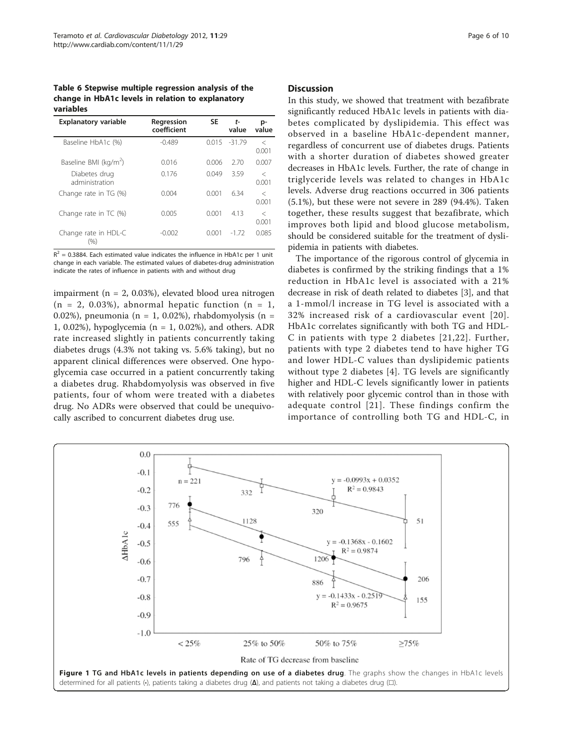<span id="page-5-0"></span>Table 6 Stepwise multiple regression analysis of the change in HbA1c levels in relation to explanatory variables

| <b>Explanatory variable</b>       | Regression<br>coefficient | <b>SE</b> | $t-$<br>value | p-<br>value      |
|-----------------------------------|---------------------------|-----------|---------------|------------------|
| Baseline HbA1c (%)                | $-0.489$                  | 0.015     | $-31.79$      | $\,<\,$<br>0.001 |
| Baseline BMI (kg/m <sup>2</sup> ) | 0.016                     | 0.006     | 2.70          | 0.007            |
| Diabetes drug<br>administration   | 0.176                     | 0.049     | 3.59          | $\,<\,$<br>0.001 |
| Change rate in TG (%)             | 0.004                     | 0.001     | 634           | $\,<\,$<br>0.001 |
| Change rate in TC (%)             | 0.005                     | 0.001     | 4.13          | $\,<\,$<br>0.001 |
| Change rate in HDL-C<br>(%)       | $-0.002$                  | 0.001     | $-172$        | 0.085            |

 $R^2$  = 0.3884. Each estimated value indicates the influence in HbA1c per 1 unit change in each variable. The estimated values of diabetes-drug administration indicate the rates of influence in patients with and without drug

impairment (n = 2, 0.03%), elevated blood urea nitrogen  $(n = 2, 0.03\%)$ , abnormal hepatic function  $(n = 1,$ 0.02%), pneumonia (n = 1, 0.02%), rhabdomyolysis (n = 1, 0.02%), hypoglycemia (n = 1, 0.02%), and others. ADR rate increased slightly in patients concurrently taking diabetes drugs (4.3% not taking vs. 5.6% taking), but no apparent clinical differences were observed. One hypoglycemia case occurred in a patient concurrently taking a diabetes drug. Rhabdomyolysis was observed in five patients, four of whom were treated with a diabetes drug. No ADRs were observed that could be unequivocally ascribed to concurrent diabetes drug use.

#### **Discussion**

In this study, we showed that treatment with bezafibrate significantly reduced HbA1c levels in patients with diabetes complicated by dyslipidemia. This effect was observed in a baseline HbA1c-dependent manner, regardless of concurrent use of diabetes drugs. Patients with a shorter duration of diabetes showed greater decreases in HbA1c levels. Further, the rate of change in triglyceride levels was related to changes in HbA1c levels. Adverse drug reactions occurred in 306 patients (5.1%), but these were not severe in 289 (94.4%). Taken together, these results suggest that bezafibrate, which improves both lipid and blood glucose metabolism, should be considered suitable for the treatment of dyslipidemia in patients with diabetes.

The importance of the rigorous control of glycemia in diabetes is confirmed by the striking findings that a 1% reduction in HbA1c level is associated with a 21% decrease in risk of death related to diabetes [[3\]](#page-8-0), and that a 1-mmol/l increase in TG level is associated with a 32% increased risk of a cardiovascular event [[20\]](#page-8-0). HbA1c correlates significantly with both TG and HDL-C in patients with type 2 diabetes [[21,22](#page-8-0)]. Further, patients with type 2 diabetes tend to have higher TG and lower HDL-C values than dyslipidemic patients without type 2 diabetes [\[4](#page-8-0)]. TG levels are significantly higher and HDL-C levels significantly lower in patients with relatively poor glycemic control than in those with adequate control [[21](#page-8-0)]. These findings confirm the importance of controlling both TG and HDL-C, in

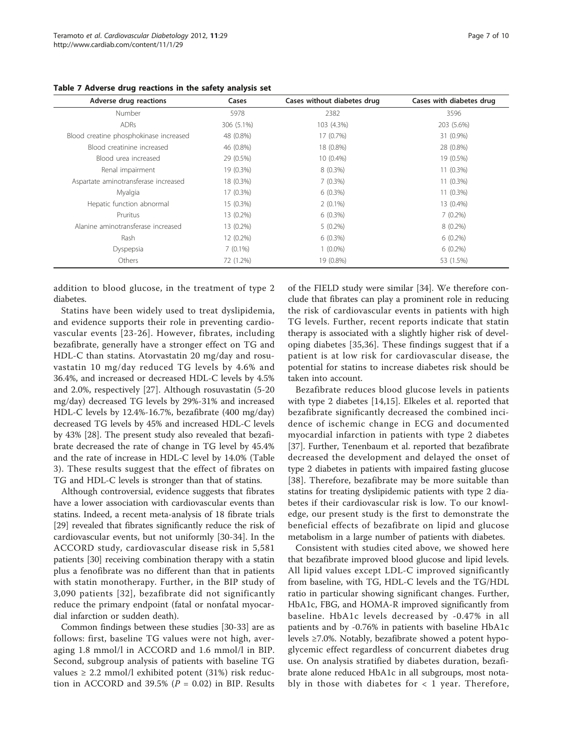| Adverse drug reactions                 | Cases      | Cases without diabetes drug | Cases with diabetes drug |
|----------------------------------------|------------|-----------------------------|--------------------------|
| Number                                 | 5978       | 2382                        | 3596                     |
| <b>ADRs</b>                            | 306 (5.1%) | 103 (4.3%)                  | 203 (5.6%)               |
| Blood creatine phosphokinase increased | 48 (0.8%)  | 17 (0.7%)                   | 31 (0.9%)                |
| Blood creatinine increased             | 46 (0.8%)  | 18 (0.8%)                   | 28 (0.8%)                |
| Blood urea increased                   | 29 (0.5%)  | $10(0.4\%)$                 | 19 (0.5%)                |
| Renal impairment                       | 19 (0.3%)  | $8(0.3\%)$                  | $11(0.3\%)$              |
| Aspartate aminotransferase increased   | 18 (0.3%)  | $7(0.3\%)$                  | 11 (0.3%)                |
| Myalgia                                | 17 (0.3%)  | $6(0.3\%)$                  | 11 (0.3%)                |
| Hepatic function abnormal              | 15 (0.3%)  | $2(0.1\%)$                  | 13 (0.4%)                |
| Pruritus                               | 13 (0.2%)  | $6(0.3\%)$                  | $7(0.2\%)$               |
| Alanine aminotransferase increased     | 13 (0.2%)  | $5(0.2\%)$                  | $8(0.2\%)$               |
| Rash                                   | 12 (0.2%)  | $6(0.3\%)$                  | $6(0.2\%)$               |
| Dyspepsia                              | $7(0.1\%)$ | $1(0.0\%)$                  | $6(0.2\%)$               |
| Others                                 | 72 (1.2%)  | 19 (0.8%)                   | 53 (1.5%)                |

<span id="page-6-0"></span>Table 7 Adverse drug reactions in the safety analysis set

addition to blood glucose, in the treatment of type 2 diabetes.

Statins have been widely used to treat dyslipidemia, and evidence supports their role in preventing cardiovascular events [[23-26](#page-8-0)]. However, fibrates, including bezafibrate, generally have a stronger effect on TG and HDL-C than statins. Atorvastatin 20 mg/day and rosuvastatin 10 mg/day reduced TG levels by 4.6% and 36.4%, and increased or decreased HDL-C levels by 4.5% and 2.0%, respectively [[27\]](#page-8-0). Although rosuvastatin (5-20 mg/day) decreased TG levels by 29%-31% and increased HDL-C levels by 12.4%-16.7%, bezafibrate (400 mg/day) decreased TG levels by 45% and increased HDL-C levels by 43% [\[28](#page-9-0)]. The present study also revealed that bezafibrate decreased the rate of change in TG level by 45.4% and the rate of increase in HDL-C level by 14.0% (Table [3\)](#page-3-0). These results suggest that the effect of fibrates on TG and HDL-C levels is stronger than that of statins.

Although controversial, evidence suggests that fibrates have a lower association with cardiovascular events than statins. Indeed, a recent meta-analysis of 18 fibrate trials [[29\]](#page-9-0) revealed that fibrates significantly reduce the risk of cardiovascular events, but not uniformly [[30-34](#page-9-0)]. In the ACCORD study, cardiovascular disease risk in 5,581 patients [\[30\]](#page-9-0) receiving combination therapy with a statin plus a fenofibrate was no different than that in patients with statin monotherapy. Further, in the BIP study of 3,090 patients [[32\]](#page-9-0), bezafibrate did not significantly reduce the primary endpoint (fatal or nonfatal myocardial infarction or sudden death).

Common findings between these studies [\[30](#page-9-0)-[33](#page-9-0)] are as follows: first, baseline TG values were not high, averaging 1.8 mmol/l in ACCORD and 1.6 mmol/l in BIP. Second, subgroup analysis of patients with baseline TG values  $\geq 2.2$  mmol/l exhibited potent (31%) risk reduction in ACCORD and 39.5% ( $P = 0.02$ ) in BIP. Results of the FIELD study were similar [[34\]](#page-9-0). We therefore conclude that fibrates can play a prominent role in reducing the risk of cardiovascular events in patients with high TG levels. Further, recent reports indicate that statin therapy is associated with a slightly higher risk of developing diabetes [[35,36\]](#page-9-0). These findings suggest that if a patient is at low risk for cardiovascular disease, the potential for statins to increase diabetes risk should be taken into account.

Bezafibrate reduces blood glucose levels in patients with type 2 diabetes [[14,15](#page-8-0)]. Elkeles et al. reported that bezafibrate significantly decreased the combined incidence of ischemic change in ECG and documented myocardial infarction in patients with type 2 diabetes [[37\]](#page-9-0). Further, Tenenbaum et al. reported that bezafibrate decreased the development and delayed the onset of type 2 diabetes in patients with impaired fasting glucose [[38](#page-9-0)]. Therefore, bezafibrate may be more suitable than statins for treating dyslipidemic patients with type 2 diabetes if their cardiovascular risk is low. To our knowledge, our present study is the first to demonstrate the beneficial effects of bezafibrate on lipid and glucose metabolism in a large number of patients with diabetes.

Consistent with studies cited above, we showed here that bezafibrate improved blood glucose and lipid levels. All lipid values except LDL-C improved significantly from baseline, with TG, HDL-C levels and the TG/HDL ratio in particular showing significant changes. Further, HbA1c, FBG, and HOMA-R improved significantly from baseline. HbA1c levels decreased by -0.47% in all patients and by -0.76% in patients with baseline HbA1c levels ≥7.0%. Notably, bezafibrate showed a potent hypoglycemic effect regardless of concurrent diabetes drug use. On analysis stratified by diabetes duration, bezafibrate alone reduced HbA1c in all subgroups, most notably in those with diabetes for  $\langle 1 \rangle$  year. Therefore,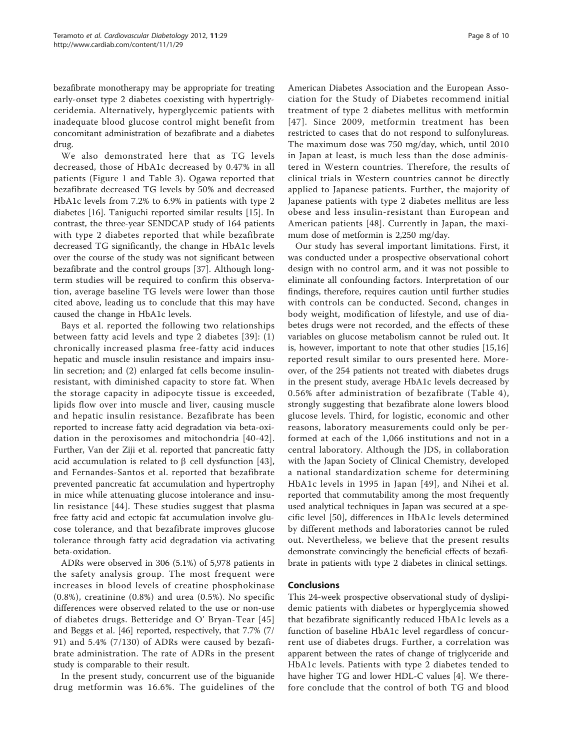bezafibrate monotherapy may be appropriate for treating early-onset type 2 diabetes coexisting with hypertriglyceridemia. Alternatively, hyperglycemic patients with inadequate blood glucose control might benefit from concomitant administration of bezafibrate and a diabetes drug.

We also demonstrated here that as TG levels decreased, those of HbA1c decreased by 0.47% in all patients (Figure [1](#page-5-0) and Table [3\)](#page-3-0). Ogawa reported that bezafibrate decreased TG levels by 50% and decreased HbA1c levels from 7.2% to 6.9% in patients with type 2 diabetes [[16](#page-8-0)]. Taniguchi reported similar results [\[15](#page-8-0)]. In contrast, the three-year SENDCAP study of 164 patients with type 2 diabetes reported that while bezafibrate decreased TG significantly, the change in HbA1c levels over the course of the study was not significant between bezafibrate and the control groups [[37\]](#page-9-0). Although longterm studies will be required to confirm this observation, average baseline TG levels were lower than those cited above, leading us to conclude that this may have caused the change in HbA1c levels.

Bays et al. reported the following two relationships between fatty acid levels and type 2 diabetes [[39](#page-9-0)]: (1) chronically increased plasma free-fatty acid induces hepatic and muscle insulin resistance and impairs insulin secretion; and (2) enlarged fat cells become insulinresistant, with diminished capacity to store fat. When the storage capacity in adipocyte tissue is exceeded, lipids flow over into muscle and liver, causing muscle and hepatic insulin resistance. Bezafibrate has been reported to increase fatty acid degradation via beta-oxidation in the peroxisomes and mitochondria [[40-42\]](#page-9-0). Further, Van der Ziji et al. reported that pancreatic fatty acid accumulation is related to  $\beta$  cell dysfunction [[43](#page-9-0)], and Fernandes-Santos et al. reported that bezafibrate prevented pancreatic fat accumulation and hypertrophy in mice while attenuating glucose intolerance and insulin resistance [\[44\]](#page-9-0). These studies suggest that plasma free fatty acid and ectopic fat accumulation involve glucose tolerance, and that bezafibrate improves glucose tolerance through fatty acid degradation via activating beta-oxidation.

ADRs were observed in 306 (5.1%) of 5,978 patients in the safety analysis group. The most frequent were increases in blood levels of creatine phosphokinase (0.8%), creatinine (0.8%) and urea (0.5%). No specific differences were observed related to the use or non-use of diabetes drugs. Betteridge and O' Bryan-Tear [[45](#page-9-0)] and Beggs et al. [\[46\]](#page-9-0) reported, respectively, that 7.7% (7/ 91) and 5.4% (7/130) of ADRs were caused by bezafibrate administration. The rate of ADRs in the present study is comparable to their result.

In the present study, concurrent use of the biguanide drug metformin was 16.6%. The guidelines of the

American Diabetes Association and the European Association for the Study of Diabetes recommend initial treatment of type 2 diabetes mellitus with metformin [[47](#page-9-0)]. Since 2009, metformin treatment has been restricted to cases that do not respond to sulfonylureas. The maximum dose was 750 mg/day, which, until 2010 in Japan at least, is much less than the dose administered in Western countries. Therefore, the results of clinical trials in Western countries cannot be directly applied to Japanese patients. Further, the majority of Japanese patients with type 2 diabetes mellitus are less obese and less insulin-resistant than European and American patients [[48](#page-9-0)]. Currently in Japan, the maximum dose of metformin is 2,250 mg/day.

Our study has several important limitations. First, it was conducted under a prospective observational cohort design with no control arm, and it was not possible to eliminate all confounding factors. Interpretation of our findings, therefore, requires caution until further studies with controls can be conducted. Second, changes in body weight, modification of lifestyle, and use of diabetes drugs were not recorded, and the effects of these variables on glucose metabolism cannot be ruled out. It is, however, important to note that other studies [[15](#page-8-0),[16](#page-8-0)] reported result similar to ours presented here. Moreover, of the 254 patients not treated with diabetes drugs in the present study, average HbA1c levels decreased by 0.56% after administration of bezafibrate (Table [4\)](#page-4-0), strongly suggesting that bezafibrate alone lowers blood glucose levels. Third, for logistic, economic and other reasons, laboratory measurements could only be performed at each of the 1,066 institutions and not in a central laboratory. Although the JDS, in collaboration with the Japan Society of Clinical Chemistry, developed a national standardization scheme for determining HbA1c levels in 1995 in Japan [[49](#page-9-0)], and Nihei et al. reported that commutability among the most frequently used analytical techniques in Japan was secured at a specific level [\[50\]](#page-9-0), differences in HbA1c levels determined by different methods and laboratories cannot be ruled out. Nevertheless, we believe that the present results demonstrate convincingly the beneficial effects of bezafibrate in patients with type 2 diabetes in clinical settings.

# Conclusions

This 24-week prospective observational study of dyslipidemic patients with diabetes or hyperglycemia showed that bezafibrate significantly reduced HbA1c levels as a function of baseline HbA1c level regardless of concurrent use of diabetes drugs. Further, a correlation was apparent between the rates of change of triglyceride and HbA1c levels. Patients with type 2 diabetes tended to have higher TG and lower HDL-C values [[4\]](#page-8-0). We therefore conclude that the control of both TG and blood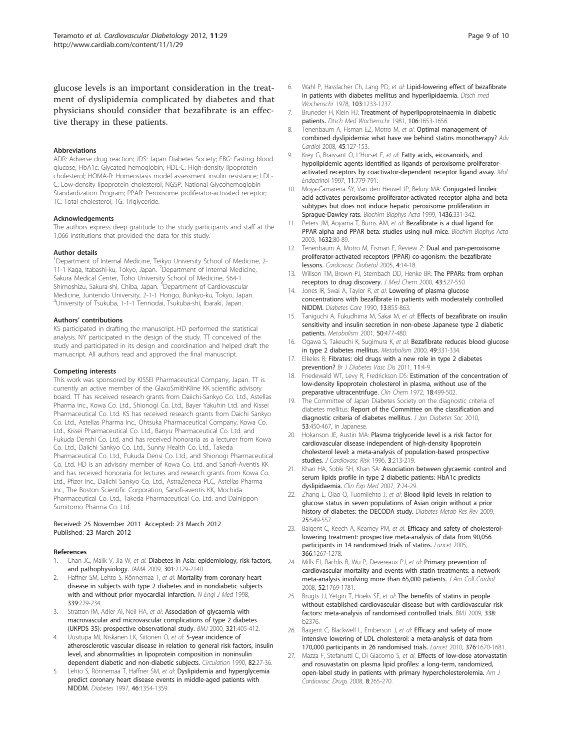<span id="page-8-0"></span>glucose levels is an important consideration in the treatment of dyslipidemia complicated by diabetes and that physicians should consider that bezafibrate is an effective therapy in these patients.

#### Abbreviations

ADR: Adverse drug reaction; JDS: Japan Diabetes Society; FBG: Fasting blood glucose; HbA1c: Glycated hemoglobin; HDL-C: High-density lipoprotein cholesterol; HOMA-R: Homeostasis model assessment insulin resistance; LDL-C: Low-density lipoprotein cholesterol; NGSP: National Glycohemoglobin Standardization Program; PPAR: Peroxisome proliferator-activated receptor; TC: Total cholesterol; TG: Triglyceride.

#### Acknowledgements

The authors express deep gratitude to the study participants and staff at the 1,066 institutions that provided the data for this study.

#### Author details

<sup>1</sup>Department of Internal Medicine, Teikyo University School of Medicine, 2-11-1 Kaga, Itabashi-ku, Tokyo, Japan. <sup>2</sup>Department of Internal Medicine, Sakura Medical Center, Toho University School of Medicine, 564-1 Shimoshizu, Sakura-shi, Chiba, Japan. <sup>3</sup>Department of Cardiovascular Medicine, Juntendo University, 2-1-1 Hongo, Bunkyo-ku, Tokyo, Japan. 4 University of Tsukuba, 1-1-1 Tennodai, Tsukuba-shi, Ibaraki, Japan.

#### Authors' contributions

KS participated in drafting the manuscript. HD performed the statistical analysis. NY participated in the design of the study. TT conceived of the study and participated in its design and coordination and helped draft the manuscript. All authors read and approved the final manuscript.

#### Competing interests

This work was sponsored by KISSEI Pharmaceutical Company, Japan. TT is currently an active member of the GlaxoSmithKline KK scientific advisory board. TT has received research grants from Daiichi-Sankyo Co. Ltd., Astellas Pharma Inc., Kowa Co. Ltd., Shionogi Co. Ltd., Bayer Yakuhin Ltd. and Kissei Pharmaceutical Co. Ltd. KS has received research grants from Daichi Sankyo Co. Ltd., Astellas Pharma Inc., Ohtsuka Pharmaceutical Company, Kowa Co. Ltd., Kissei Pharmaceutical Co. Ltd., Banyu Pharmaceutical Co. Ltd. and Fukuda Denshi Co. Ltd. and has received honoraria as a lecturer from Kowa Co. Ltd., Daiichi Sankyo Co. Ltd., Sunny Health Co. Ltd., Takeda Pharmaceutical Co. Ltd., Fukuda Densi Co. Ltd., and Shionogi Pharmaceutical Co. Ltd. HD is an advisory member of Kowa Co. Ltd. and Sanofi-Aventis KK and has received honoraria for lectures and research grants from Kowa Co. Ltd., Pfizer Inc., Daiichi Sankyo Co. Ltd., AstraZeneca PLC, Astellas Pharma Inc., The Boston Scientific Corporation, Sanofi-aventis KK, Mochida Pharmaceutical Co. Ltd., Takeda Pharmaceutical Co. Ltd. and Dainippon Sumitomo Pharma Co. Ltd.

#### Received: 25 November 2011 Accepted: 23 March 2012 Published: 23 March 2012

#### References

- 1. Chan JC, Malik V, Jia W, et al: Diabetes in Asia: epidemiology, risk factors, and pathophysiology. JAMA 2009, 301:2129-2140.
- 2. Haffner SM, Lehto S, Rönnemaa T, et al: Mortality from coronary heart disease in subjects with type 2 diabetes and in nondiabetic subjects with and without prior myocardial infarction. N Engl J Med 1998, 339:229-234.
- 3. Stratton IM, Adler AI, Neil HA, et al: Association of glycaemia with macrovascular and microvascular complications of type 2 diabetes (UKPDS 35): prospective observational study. BMJ 2000, 321:405-412.
- 4. Uusitupa MI, Niskanen LK, Siitonen O, et al: 5-year incidence of atherosclerotic vascular disease in relation to general risk factors, insulin level, and abnormalities in lipoprotein composition in noninsulin dependent diabetic and non-diabetic subjects. Circulation 1990, 82:27-36.
- Lehto S, Rönnemaa T, Haffner SM, et al: Dyslipidemia and hyperglycemia predict coronary heart disease events in middle-aged patients with NIDDM. Diabetes 1997, 46:1354-1359.
- 6. Wahl P, Hasslacher Ch, Lang PD, et al: Lipid-lowering effect of bezafibrate in patients with diabetes mellitus and hyperlipidaemia. Dtsch med Wochenschr 1978, 103:1233-1237.
- 7. Bruneder H, Klein HJ: Treatment of hyperlipoproteinaemia in diabetic patients. Dtsch Med Wochenschr 1981, 106:1653-1656.
- 8. Tenenbaum A, Fisman EZ, Motro M, et al: Optimal management of combined dyslipidemia: what have we behind statins monotherapy? Adv Cardiol 2008, 45:127-153.
- Krey G, Braissant O, L'Horset F, et al: Fatty acids, eicosanoids, and hypolipidemic agents identified as ligands of peroxisome proliferatoractivated receptors by coactivator-dependent receptor ligand assay. Mol Endocrinol 1997, 11:779-791.
- 10. Moya-Camarena SY, Van den Heuvel JP, Belury MA: Conjugated linoleic acid activates peroxisome proliferator-activated receptor alpha and beta subtypes but does not induce hepatic peroxisome proliferation in Sprague-Dawley rats. Biochim Biophys Acta 1999, 1436:331-342.
- 11. Peters JM, Aoyama T, Burns AM, et al: Bezafibrate is a dual ligand for PPAR alpha and PPAR beta: studies using null mice. Biochim Biophys Acta 2003, 1632:80-89.
- 12. Tenenbaum A, Motro M, Fisman E, Review Z: Dual and pan-peroxisome proliferator-activated receptors (PPAR) co-agonism: the bezafibrate lessons. Cardiovasc Diabetol 2005, 4:14-18.
- 13. Willson TM, Brown PJ, Sternbach DD, Henke BR: The PPARs: from orphan receptors to drug discovery. J Med Chem 2000, 43:527-550.
- 14. Jones IR, Swai A, Taylor R, et al: Lowering of plasma glucose concentrations with bezafibrate in patients with moderately controlled NIDDM. Diabetes Care 1990, 13:855-863.
- 15. Taniguchi A, Fukudhima M, Sakai M, et al: Effects of bezafibrate on insulin sensitivity and insulin secretion in non-obese Japanese type 2 diabetic patients. Metabolism 2001, 50:477-480.
- 16. Ogawa S, Takeuchi K, Sugimura K, et al: Bezafibrate reduces blood glucose in type 2 diabetes mellitus. Metabolism 2000, 49:331-334.
- 17. Elkeles R: Fibrates: old drugs with a new role in type 2 diabetes prevention? Br J Diabetes Vasc Dis 2011, 11:4-9.
- Friedewald WT, Levy R, Fredrickson DS: Estimation of the concentration of low-density lipoprotein cholesterol in plasma, without use of the preparative ultracentrifuge. Clin Chem 1972, 18:499-502.
- 19. The Committee of Japan Diabetes Society on the diagnostic criteria of diabetes mellitus: Report of the Committee on the classification and diagnostic criteria of diabetes mellitus. J Jpn Diabetes Soc 2010, 53:450-467, in Japanese.
- 20. Hokanson JE, Austin MA: Plasma triglyceride level is a risk factor for cardiovascular disease independent of high-density lipoprotein cholesterol level: a meta-analysis of population-based prospective studies. J Cardiovasc Risk 1996, 3:213-219.
- 21. Khan HA, Sobki SH, Khan SA: Association between glycaemic control and serum lipids profile in type 2 diabetic patients: HbA1c predicts dyslipidaemia. Clin Exp Med 2007, 7:24-29.
- 22. Zhang L, Qiao Q, Tuomilehto J, et al: Blood lipid levels in relation to glucose status in seven populations of Asian origin without a prior history of diabetes: the DECODA study. Diabetes Metab Res Rev 2009, 25:549-557.
- 23. Baigent C, Keech A, Kearney PM, et al: Efficacy and safety of cholesterollowering treatment: prospective meta-analysis of data from 90,056 participants in 14 randomised trials of statins. Lancet 2005, 366:1267-1278.
- 24. Mills EJ, Rachlis B, Wu P, Devereaux PJ, et al: Primary prevention of cardiovascular mortality and events with statin treatments: a network meta-analysis involving more than 65,000 patients. J Am Coll Cardiol 2008, 52:1769-1781.
- 25. Brugts JJ, Yetgin T, Hoeks SE, et al: The benefits of statins in people without established cardiovascular disease but with cardiovascular risk factors: meta-analysis of randomised controlled trials. BMJ 2009, 338: b2376.
- 26. Baigent C, Blackwell L, Emberson J, et al: Efficacy and safety of more intensive lowering of LDL cholesterol: a meta-analysis of data from 170,000 participants in 26 randomised trials. Lancet 2010, 376:1670-1681.
- 27. Mazza F, Stefanutti C, Di Giacomo S, et al: Effects of low-dose atorvastatin and rosuvastatin on plasma lipid profiles: a long-term, randomized, open-label study in patients with primary hypercholesterolemia. Am J Cardiovasc Drugs 2008, 8:265-270.